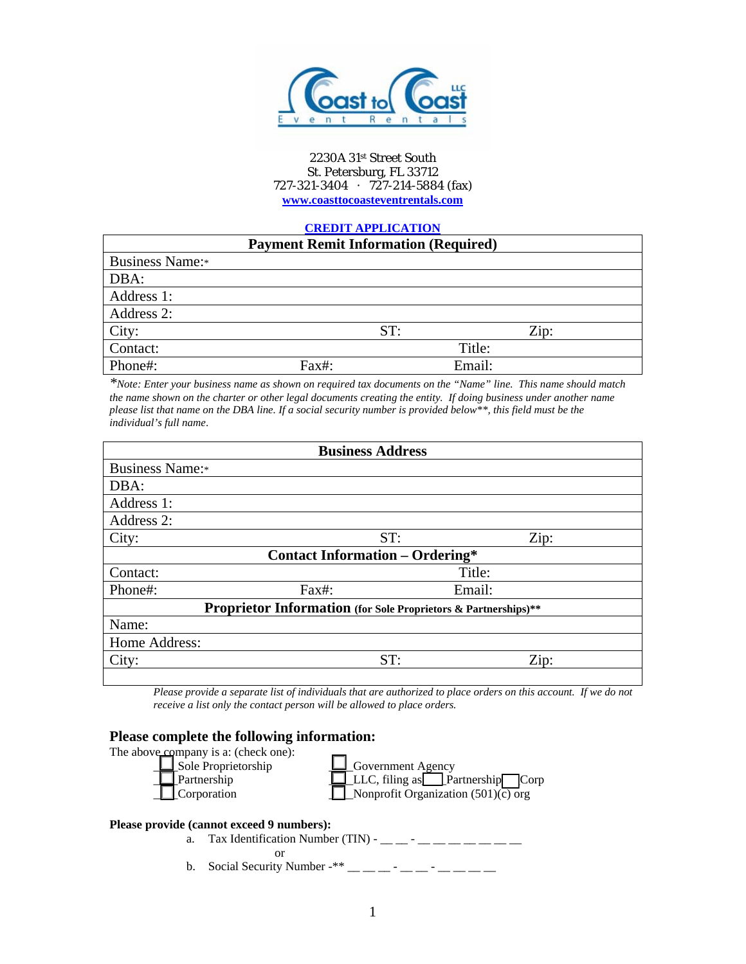

#### 2230A 31st Street South St. Petersburg, FL 33712 727-321-3404 · 727-214-5884 (fax) **www.coasttocoasteventrentals.com**

## **CREDIT APPLICATION**

| <b>Payment Remit Information (Required)</b> |       |     |        |      |
|---------------------------------------------|-------|-----|--------|------|
| <b>Business Name:</b> *                     |       |     |        |      |
| DBA:                                        |       |     |        |      |
| Address 1:                                  |       |     |        |      |
| Address 2:                                  |       |     |        |      |
| City:                                       |       | ST: |        | Zip: |
| Contact:                                    |       |     | Title: |      |
| Phone#:                                     | Fax#: |     | Email: |      |

*\*Note: Enter your business name as shown on required tax documents on the "Name" line. This name should match the name shown on the charter or other legal documents creating the entity. If doing business under another name please list that name on the DBA line. If a social security number is provided below\*\*, this field must be the individual's full name*.

| <b>Business Address</b>                                               |     |        |  |  |  |
|-----------------------------------------------------------------------|-----|--------|--|--|--|
| <b>Business Name:</b> *                                               |     |        |  |  |  |
| DBA:                                                                  |     |        |  |  |  |
| Address 1:                                                            |     |        |  |  |  |
| Address 2:                                                            |     |        |  |  |  |
| City:                                                                 | ST: | Zip:   |  |  |  |
| <b>Contact Information – Ordering*</b>                                |     |        |  |  |  |
| Contact:                                                              |     | Title: |  |  |  |
| Phone#:<br>Fax#:                                                      |     | Email: |  |  |  |
| <b>Proprietor Information</b> (for Sole Proprietors & Partnerships)** |     |        |  |  |  |
| Name:                                                                 |     |        |  |  |  |
| Home Address:                                                         |     |        |  |  |  |
| City:                                                                 | ST: | Zip:   |  |  |  |
|                                                                       |     |        |  |  |  |

*Please provide a separate list of individuals that are authorized to place orders on this account. If we do not receive a list only the contact person will be allowed to place orders.* 

## **Please complete the following information:**



LARRET Partnership LARRET LARRET ELLC, filing as Partnership Corp  $\Box$  Nonprofit Organization (501)(c) org

#### **Please provide (cannot exceed 9 numbers):**

- a. Tax Identification Number (TIN) \_\_ \_\_ \_\_ \_\_ \_\_ \_\_ \_\_ \_\_ \_\_ or
- b. Social Security Number -\*\*  $\frac{1}{2}$   $\frac{1}{2}$   $\frac{1}{2}$   $\frac{1}{2}$   $\frac{1}{2}$   $\frac{1}{2}$   $\frac{1}{2}$   $\frac{1}{2}$   $\frac{1}{2}$   $\frac{1}{2}$   $\frac{1}{2}$   $\frac{1}{2}$   $\frac{1}{2}$   $\frac{1}{2}$   $\frac{1}{2}$   $\frac{1}{2}$   $\frac{1}{2}$   $\frac{1}{2}$   $\frac{1}{2}$